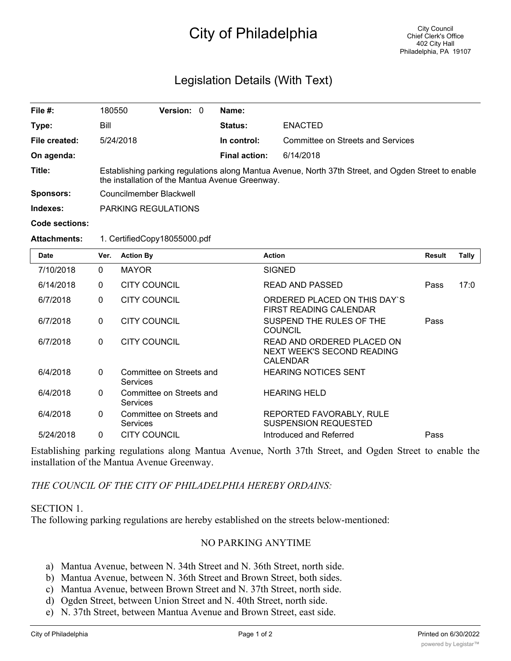# City of Philadelphia

## Legislation Details (With Text)

| File #:          | 180550                                                                                                                                                 | Version: 0 |  | Name:                |                                   |  |  |  |
|------------------|--------------------------------------------------------------------------------------------------------------------------------------------------------|------------|--|----------------------|-----------------------------------|--|--|--|
| Type:            | Bill                                                                                                                                                   |            |  | <b>Status:</b>       | <b>ENACTED</b>                    |  |  |  |
| File created:    | 5/24/2018                                                                                                                                              |            |  | In control:          | Committee on Streets and Services |  |  |  |
| On agenda:       |                                                                                                                                                        |            |  | <b>Final action:</b> | 6/14/2018                         |  |  |  |
| Title:           | Establishing parking regulations along Mantua Avenue, North 37th Street, and Ogden Street to enable<br>the installation of the Mantua Avenue Greenway. |            |  |                      |                                   |  |  |  |
| <b>Sponsors:</b> | Councilmember Blackwell                                                                                                                                |            |  |                      |                                   |  |  |  |
| Indexes:         | <b>PARKING REGULATIONS</b>                                                                                                                             |            |  |                      |                                   |  |  |  |
| Code sections:   |                                                                                                                                                        |            |  |                      |                                   |  |  |  |

### **Attachments:** 1. CertifiedCopy18055000.pdf

| <b>Date</b> | Ver.         | <b>Action By</b>                     | <b>Action</b>                                                               | <b>Result</b> | Tally |
|-------------|--------------|--------------------------------------|-----------------------------------------------------------------------------|---------------|-------|
| 7/10/2018   | $\mathbf{0}$ | <b>MAYOR</b>                         | <b>SIGNED</b>                                                               |               |       |
| 6/14/2018   | $\mathbf{0}$ | <b>CITY COUNCIL</b>                  | <b>READ AND PASSED</b>                                                      | Pass          | 17:0  |
| 6/7/2018    | $\mathbf 0$  | CITY COUNCIL                         | ORDERED PLACED ON THIS DAY'S<br>FIRST READING CALENDAR                      |               |       |
| 6/7/2018    | $\mathbf{0}$ | <b>CITY COUNCIL</b>                  | SUSPEND THE RULES OF THE<br><b>COUNCIL</b>                                  | Pass          |       |
| 6/7/2018    | $\mathbf{0}$ | CITY COUNCIL                         | READ AND ORDERED PLACED ON<br>NEXT WEEK'S SECOND READING<br><b>CALENDAR</b> |               |       |
| 6/4/2018    | $\mathbf{0}$ | Committee on Streets and<br>Services | <b>HEARING NOTICES SENT</b>                                                 |               |       |
| 6/4/2018    | $\Omega$     | Committee on Streets and<br>Services | <b>HEARING HELD</b>                                                         |               |       |
| 6/4/2018    | $\mathbf{0}$ | Committee on Streets and<br>Services | REPORTED FAVORABLY, RULE<br><b>SUSPENSION REQUESTED</b>                     |               |       |
| 5/24/2018   | 0            | <b>CITY COUNCIL</b>                  | Introduced and Referred                                                     | Pass          |       |

Establishing parking regulations along Mantua Avenue, North 37th Street, and Ogden Street to enable the installation of the Mantua Avenue Greenway.

### *THE COUNCIL OF THE CITY OF PHILADELPHIA HEREBY ORDAINS:*

#### SECTION 1.

The following parking regulations are hereby established on the streets below-mentioned:

### NO PARKING ANYTIME

- a) Mantua Avenue, between N. 34th Street and N. 36th Street, north side.
- b) Mantua Avenue, between N. 36th Street and Brown Street, both sides.
- c) Mantua Avenue, between Brown Street and N. 37th Street, north side.
- d) Ogden Street, between Union Street and N. 40th Street, north side.
- e) N. 37th Street, between Mantua Avenue and Brown Street, east side.